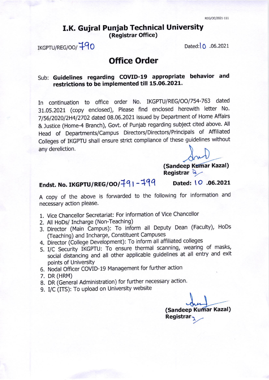## I.K. Gujral Punjab Technical University (Registrar Office)

IKGPTU/REG/OO/<sup>19</sup>0 Dated:10 .06.2021

# Office Order

### Sub: Guidelines regarding COVID-19 appropriate behavior and restrictions to be implemented till 15.06.2021.

In continuation to office order No. IKGPTU/REG/OO/754-763 dated 31.05.2021 (copy enclosed), Please find enclosed herewith letter No. 7/56/2020/2H4/2702 dated 08.06.2021 issued by Department of Home Affairs & Justice (Home-4 Branch), Govt. of Punjab regarding subject cited above. All Head of Departments/campus Directors/Directors/Principals of Affiliated colleges of IKGPTU shall ensure strict compliance of these guidelines without any dereliction.

(Sandeep Kumar Kazal)<br>Registrar Q

# Endst. No. IKGPTU/REG/OO/ $\frac{791-799}{99}$  Dated: 10 .06.2021

A copy of the above is forwarded to the following for information and necessary action please.

- 1. Vice Chancellor Secretariat: For information of Vice Chancellor
- 2. All HoDs/ Incharge (Non-Teaching)
- 3. Director (Main Lampus): To inform all Deputy Dean (Faculty), HoDs (Teaching) and Incharge, Constituent Campuses-
- 4. birector (College Development): To inform all affiliated colleges
- 5. I/C Security IKGPTU: To ensure thermal scanning, wearing of masks, social distancing and all other applicable guidelines at all entry and exit points of University
- bomes of onlivensity<br>6. Nodal Officer COVID-19 Management for further action
- 7. DR (HRM)
- 8. DR (General Administration) for further necessary action.
- 9. I/C (ITS): To upload on University website

(Sandeep Kumar Kazal) Registrar